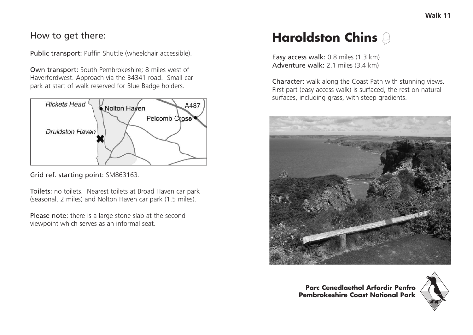## How to get there:

Public transport: Puffin Shuttle (wheelchair accessible).

Own transport: South Pembrokeshire; 8 miles west of Haverfordwest. Approach via the B4341 road. Small car park at start of walk reserved for Blue Badge holders.



Grid ref. starting point: SM863163.

Toilets: no toilets. Nearest toilets at Broad Haven car park (seasonal, 2 miles) and Nolton Haven car park (1.5 miles).

Please note: there is a large stone slab at the second viewpoint which serves as an informal seat.

## **Haroldston Chins**

Easy access walk: 0.8 miles (1.3 km) Adventure walk: 2.1 miles (3.4 km)

Character: walk along the Coast Path with stunning views. First part (easy access walk) is surfaced, the rest on natural surfaces, including grass, with steep gradients.



**Parc Cenedlaethol Arfordir Penfro Pembrokeshire Coast National Park**

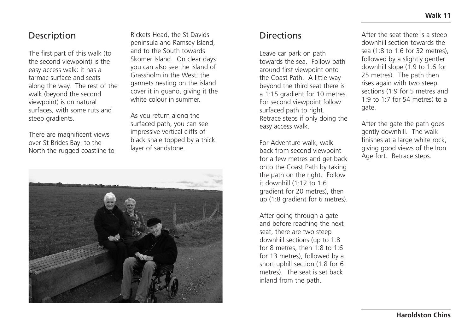## Description

The first part of this walk (to the second viewpoint) is the easy access walk: it has a tarmac surface and seats along the way. The rest of the walk (beyond the second viewpoint) is on natural surfaces, with some ruts and steep gradients.

There are magnificent views over St Brides Bay: to the North the rugged coastline to

Rickets Head, the St Davids peninsula and Ramsey Island, and to the South towards Skomer Island. On clear days you can also see the island of Grassholm in the West; the gannets nesting on the island cover it in guano, giving it the white colour in summer.

As you return along the surfaced path, you can see impressive vertical cliffs of black shale topped by a thick layer of sandstone.



## **Directions**

Leave car park on path towards the sea. Follow path around first viewpoint onto the Coast Path. A little way beyond the third seat there is a 1:15 gradient for 10 metres. For second viewpoint follow surfaced path to right. Retrace steps if only doing the easy access walk.

For Adventure walk, walk back from second viewpoint for a few metres and get back onto the Coast Path by taking the path on the right. Follow it downhill (1:12 to 1:6 gradient for 20 metres), then up (1:8 gradient for 6 metres).

After going through a gate and before reaching the next seat, there are two steep downhill sections (up to 1:8 for 8 metres, then 1:8 to 1:6 for 13 metres), followed by a short uphill section (1:8 for 6 metres). The seat is set back inland from the path.

After the seat there is a steep downhill section towards the sea  $(1.8 \text{ to } 1.6 \text{ for } 32 \text{ metres})$ followed by a slightly gentler downhill slope (1:9 to 1:6 for 25 metres). The path then rises again with two steep sections (1:9 for 5 metres and 1:9 to 1:7 for 54 metres) to a gate.

After the gate the path goes gently downhill. The walk finishes at a large white rock, giving good views of the Iron Age fort. Retrace steps.